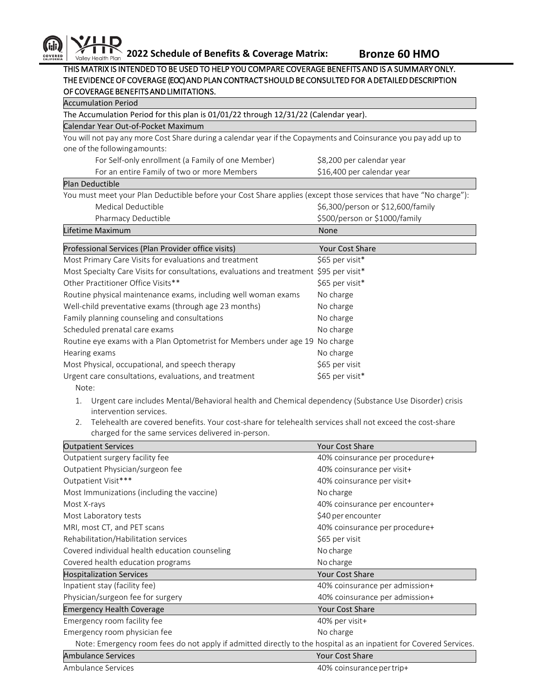

## THIS MATRIX IS INTENDED TO BE USED TO HELP YOU COMPARE COVERAGE BENEFITS AND IS A SUMMARY ONLY. THE EVIDENCE OF COVERAGE (EOC) AND PLAN CONTRACT SHOULD BE CONSULTED FOR A DETAILED DESCRIPTION OF COVERAGE BENEFITS AND LIMITATIONS.

| <b>Accumulation Period</b>                                                                                        |                                   |  |
|-------------------------------------------------------------------------------------------------------------------|-----------------------------------|--|
| The Accumulation Period for this plan is 01/01/22 through 12/31/22 (Calendar year).                               |                                   |  |
| Calendar Year Out-of-Pocket Maximum                                                                               |                                   |  |
| You will not pay any more Cost Share during a calendar year if the Copayments and Coinsurance you pay add up to   |                                   |  |
| one of the following amounts:                                                                                     |                                   |  |
| For Self-only enrollment (a Family of one Member)                                                                 | \$8,200 per calendar year         |  |
| For an entire Family of two or more Members                                                                       | \$16,400 per calendar year        |  |
| <b>Plan Deductible</b>                                                                                            |                                   |  |
| You must meet your Plan Deductible before your Cost Share applies (except those services that have "No charge"):  |                                   |  |
| Medical Deductible                                                                                                | \$6,300/person or \$12,600/family |  |
| Pharmacy Deductible                                                                                               | \$500/person or \$1000/family     |  |
| Lifetime Maximum                                                                                                  | <b>None</b>                       |  |
|                                                                                                                   |                                   |  |
| Professional Services (Plan Provider office visits)                                                               | Your Cost Share                   |  |
| Most Primary Care Visits for evaluations and treatment                                                            | \$65 per visit*                   |  |
| Most Specialty Care Visits for consultations, evaluations and treatment \$95 per visit*                           |                                   |  |
| Other Practitioner Office Visits**                                                                                | \$65 per visit*                   |  |
| Routine physical maintenance exams, including well woman exams                                                    | No charge                         |  |
| Well-child preventative exams (through age 23 months)                                                             | No charge                         |  |
| Family planning counseling and consultations                                                                      | No charge                         |  |
| Scheduled prenatal care exams                                                                                     | No charge                         |  |
| Routine eye exams with a Plan Optometrist for Members under age 19 No charge                                      |                                   |  |
| Hearing exams                                                                                                     | No charge                         |  |
| Most Physical, occupational, and speech therapy                                                                   | \$65 per visit                    |  |
| Urgent care consultations, evaluations, and treatment                                                             | \$65 per visit*                   |  |
| Note:                                                                                                             |                                   |  |
| Urgent care includes Mental/Behavioral health and Chemical dependency (Substance Use Disorder) crisis<br>1.       |                                   |  |
| intervention services.                                                                                            |                                   |  |
| Telehealth are covered benefits. Your cost-share for telehealth services shall not exceed the cost-share<br>2.    |                                   |  |
| charged for the same services delivered in-person.                                                                |                                   |  |
| <b>Outpatient Services</b>                                                                                        | Your Cost Share                   |  |
| Outpatient surgery facility fee                                                                                   | 40% coinsurance per procedure+    |  |
| Outpatient Physician/surgeon fee                                                                                  | 40% coinsurance per visit+        |  |
| Outpatient Visit***                                                                                               | 40% coinsurance per visit+        |  |
| Most Immunizations (including the vaccine)                                                                        | No charge                         |  |
| Most X-rays                                                                                                       | 40% coinsurance per encounter+    |  |
| Most Laboratory tests                                                                                             | \$40 per encounter                |  |
|                                                                                                                   |                                   |  |
| MRI, most CT, and PET scans                                                                                       | 40% coinsurance per procedure+    |  |
| Rehabilitation/Habilitation services                                                                              | \$65 per visit                    |  |
| Covered individual health education counseling                                                                    | No charge                         |  |
| Covered health education programs                                                                                 | No charge                         |  |
| <b>Hospitalization Services</b>                                                                                   | <b>Your Cost Share</b>            |  |
| Inpatient stay (facility fee)                                                                                     | 40% coinsurance per admission+    |  |
| Physician/surgeon fee for surgery                                                                                 | 40% coinsurance per admission+    |  |
| <b>Emergency Health Coverage</b>                                                                                  | Your Cost Share                   |  |
| Emergency room facility fee                                                                                       | 40% per visit+                    |  |
| Emergency room physician fee                                                                                      | No charge                         |  |
| Note: Emergency room fees do not apply if admitted directly to the hospital as an inpatient for Covered Services. |                                   |  |
| <b>Ambulance Services</b>                                                                                         | Your Cost Share                   |  |
| Ambulance Services                                                                                                | 40% coinsurance per trip+         |  |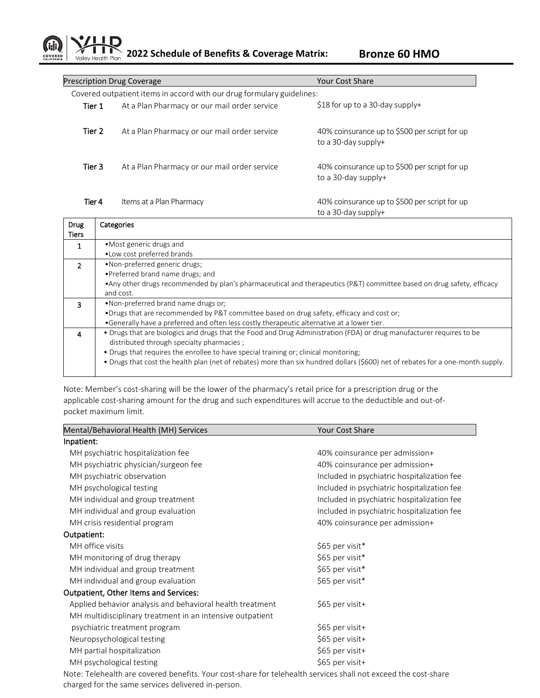**2022 Schedule of Benefits & Coverage Matrix: Bronze 60 HMO**  Valley Health Plan

COVERED

| <b>Prescription Drug Coverage</b>                                      |                                              | <b>Your Cost Share</b>                                               |  |  |
|------------------------------------------------------------------------|----------------------------------------------|----------------------------------------------------------------------|--|--|
| Covered outpatient items in accord with our drug formulary guidelines: |                                              |                                                                      |  |  |
| Tier 1                                                                 | At a Plan Pharmacy or our mail order service | \$18 for up to a 30-day supply+                                      |  |  |
| Tier 2                                                                 | At a Plan Pharmacy or our mail order service | 40% coinsurance up to \$500 per script for up<br>to a 30-day supply+ |  |  |
| Tier 3                                                                 | At a Plan Pharmacy or our mail order service | 40% coinsurance up to \$500 per script for up<br>to a 30-day supply+ |  |  |
| Tier 4                                                                 | Items at a Plan Pharmacy                     | 40% coinsurance up to \$500 per script for up<br>to a 30-day supply+ |  |  |

| Drug<br><b>Tiers</b> | Categories                                                                                                                      |
|----------------------|---------------------------------------------------------------------------------------------------------------------------------|
| 1                    | • Most generic drugs and                                                                                                        |
|                      | . Low cost preferred brands                                                                                                     |
| $\mathcal{P}$        | •Non-preferred generic drugs;                                                                                                   |
|                      | •Preferred brand name drugs; and                                                                                                |
|                      | • Any other drugs recommended by plan's pharmaceutical and therapeutics (P&T) committee based on drug safety, efficacy          |
|                      | and cost.                                                                                                                       |
| 3                    | .Non-preferred brand name drugs or:                                                                                             |
|                      | •Drugs that are recommended by P&T committee based on drug safety, efficacy and cost or;                                        |
|                      | •Generally have a preferred and often less costly therapeutic alternative at a lower tier.                                      |
| 4                    | • Drugs that are biologics and drugs that the Food and Drug Administration (FDA) or drug manufacturer requires to be            |
|                      | distributed through specialty pharmacies;                                                                                       |
|                      | • Drugs that requires the enrollee to have special training or; clinical monitoring;                                            |
|                      | • Drugs that cost the health plan (net of rebates) more than six hundred dollars (\$600) net of rebates for a one-month supply. |
|                      |                                                                                                                                 |

Note: Member's cost-sharing will be the lower of the pharmacy's retail price for a prescription drug or the applicable cost-sharing amount for the drug and such expenditures will accrue to the deductible and out-ofpocket maximum limit.

| Mental/Behavioral Health (MH) Services                                                                                    | Your Cost Share                             |
|---------------------------------------------------------------------------------------------------------------------------|---------------------------------------------|
| Inpatient:                                                                                                                |                                             |
| MH psychiatric hospitalization fee                                                                                        | 40% coinsurance per admission+              |
| MH psychiatric physician/surgeon fee                                                                                      | 40% coinsurance per admission+              |
| MH psychiatric observation                                                                                                | Included in psychiatric hospitalization fee |
| MH psychological testing                                                                                                  | Included in psychiatric hospitalization fee |
| MH individual and group treatment                                                                                         | Included in psychiatric hospitalization fee |
| MH individual and group evaluation                                                                                        | Included in psychiatric hospitalization fee |
| MH crisis residential program                                                                                             | 40% coinsurance per admission+              |
| Outpatient:                                                                                                               |                                             |
| MH office visits                                                                                                          | \$65 per visit*                             |
| MH monitoring of drug therapy                                                                                             | \$65 per visit*                             |
| MH individual and group treatment                                                                                         | \$65 per visit*                             |
| MH individual and group evaluation                                                                                        | \$65 per visit*                             |
| Outpatient, Other Items and Services:                                                                                     |                                             |
| Applied behavior analysis and behavioral health treatment                                                                 | \$65 per visit+                             |
| MH multidisciplinary treatment in an intensive outpatient                                                                 |                                             |
| psychiatric treatment program                                                                                             | \$65 per visit+                             |
| Neuropsychological testing                                                                                                | \$65 per visit+                             |
| MH partial hospitalization                                                                                                | \$65 per visit+                             |
| MH psychological testing                                                                                                  | \$65 per visit+                             |
| مسحام شموم وعاشاه ومحببيه شمس المعام وممتسوم والتاروع والمشامع والمستحدث والمستحدث والمستحدث ومستطافات والمتاركة المشعبان |                                             |

Note: Telehealth are covered benefits. Your cost-share for telehealth services shall not exceed the cost-share charged for the same services delivered in-person.